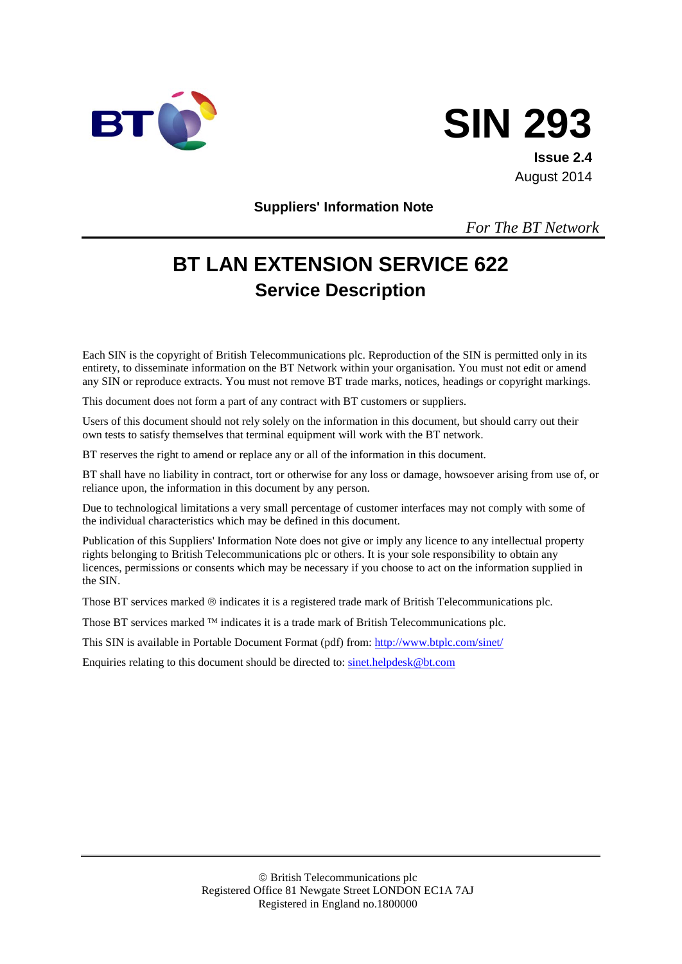



**Issue 2.4** August 2014

**Suppliers' Information Note**

*For The BT Network*

# **BT LAN EXTENSION SERVICE 622 Service Description**

Each SIN is the copyright of British Telecommunications plc. Reproduction of the SIN is permitted only in its entirety, to disseminate information on the BT Network within your organisation. You must not edit or amend any SIN or reproduce extracts. You must not remove BT trade marks, notices, headings or copyright markings.

This document does not form a part of any contract with BT customers or suppliers.

Users of this document should not rely solely on the information in this document, but should carry out their own tests to satisfy themselves that terminal equipment will work with the BT network.

BT reserves the right to amend or replace any or all of the information in this document.

BT shall have no liability in contract, tort or otherwise for any loss or damage, howsoever arising from use of, or reliance upon, the information in this document by any person.

Due to technological limitations a very small percentage of customer interfaces may not comply with some of the individual characteristics which may be defined in this document.

Publication of this Suppliers' Information Note does not give or imply any licence to any intellectual property rights belonging to British Telecommunications plc or others. It is your sole responsibility to obtain any licences, permissions or consents which may be necessary if you choose to act on the information supplied in the SIN.

Those BT services marked  $\circledcirc$  indicates it is a registered trade mark of British Telecommunications plc.

Those BT services marked  $TM$  indicates it is a trade mark of British Telecommunications plc.

This SIN is available in Portable Document Format (pdf) from:<http://www.btplc.com/sinet/>

Enquiries relating to this document should be directed to: [sinet.helpdesk@bt.com](mailto:sinet.helpdesk@bt.com)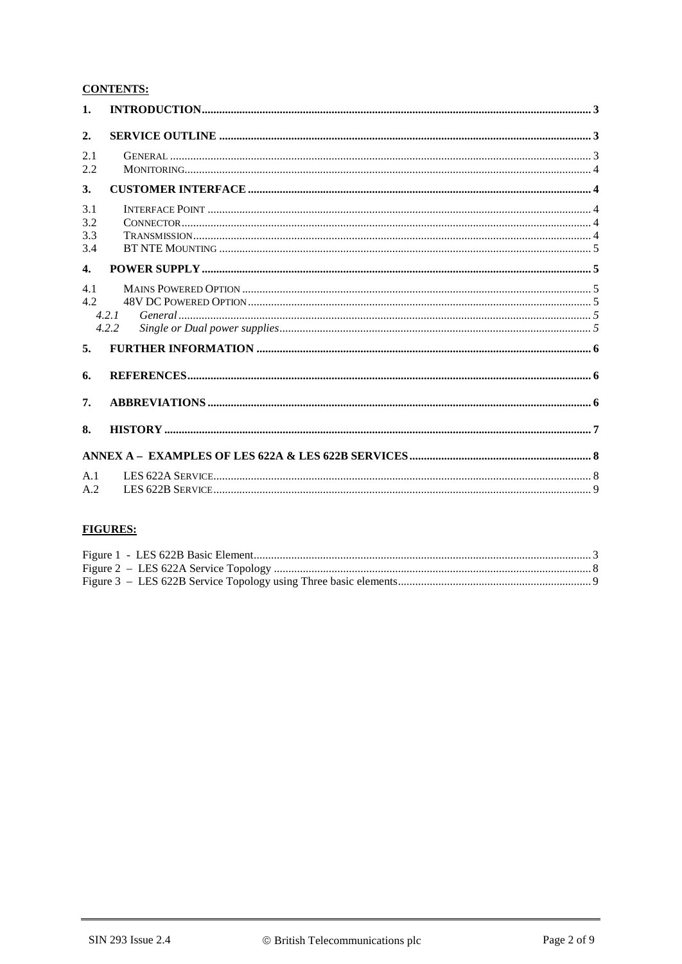#### **CONTENTS:**

| 1.                       |                |  |
|--------------------------|----------------|--|
| 2.                       |                |  |
| 2.1<br>2.2               |                |  |
| 3.                       |                |  |
| 3.1<br>3.2<br>3.3<br>3.4 |                |  |
| $\overline{4}$ .         |                |  |
| 4.1<br>4.2               | 4.2.1<br>4.2.2 |  |
| 5.                       |                |  |
| 6.                       |                |  |
| 7.                       |                |  |
| 8.                       |                |  |
|                          |                |  |
| A.1                      |                |  |
| A.2                      |                |  |

## **FIGURES:**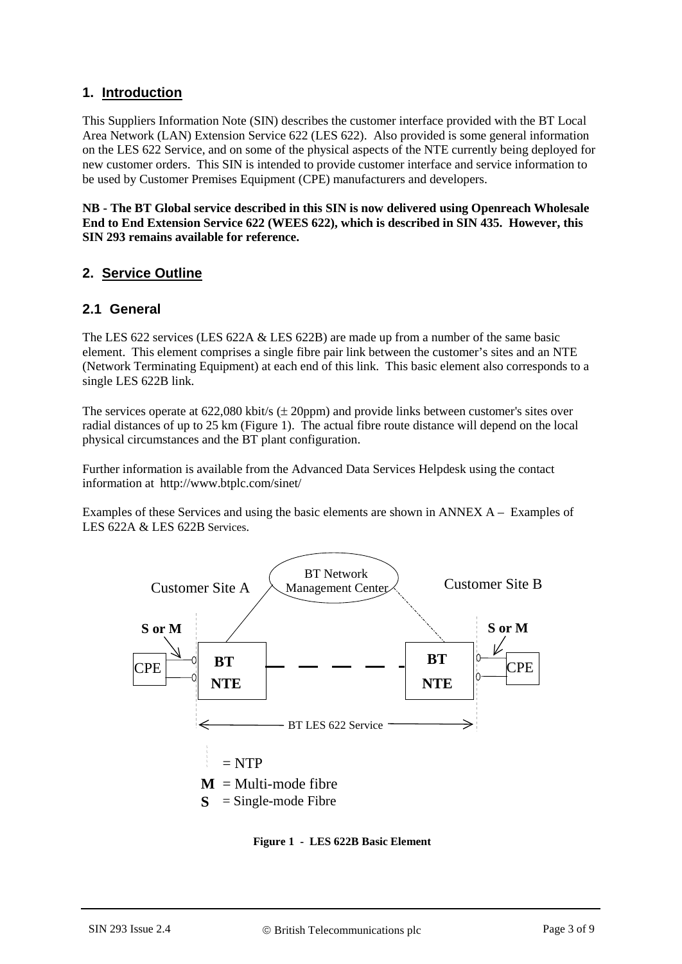#### **1. Introduction**

This Suppliers Information Note (SIN) describes the customer interface provided with the BT Local Area Network (LAN) Extension Service 622 (LES 622). Also provided is some general information on the LES 622 Service, and on some of the physical aspects of the NTE currently being deployed for new customer orders. This SIN is intended to provide customer interface and service information to be used by Customer Premises Equipment (CPE) manufacturers and developers.

**NB - The BT Global service described in this SIN is now delivered using Openreach Wholesale End to End Extension Service 622 (WEES 622), which is described in SIN 435. However, this SIN 293 remains available for reference.**

#### **2. Service Outline**

#### **2.1 General**

The LES 622 services (LES 622A & LES 622B) are made up from a number of the same basic element. This element comprises a single fibre pair link between the customer's sites and an NTE (Network Terminating Equipment) at each end of this link. This basic element also corresponds to a single LES 622B link.

The services operate at  $622,080$  kbit/s ( $\pm$  20ppm) and provide links between customer's sites over radial distances of up to 25 km [\(Figure 1\)](#page-2-0). The actual fibre route distance will depend on the local physical circumstances and the BT plant configuration.

Further information is available from the Advanced Data Services Helpdesk using the contact information at http://www.btplc.com/sinet/

Examples of these Services and using the basic elements are shown in [ANNEX A – Examples of](#page-7-0)  [LES 622A & LES 622B](#page-7-0) Services.



<span id="page-2-0"></span>**Figure 1 - LES 622B Basic Element**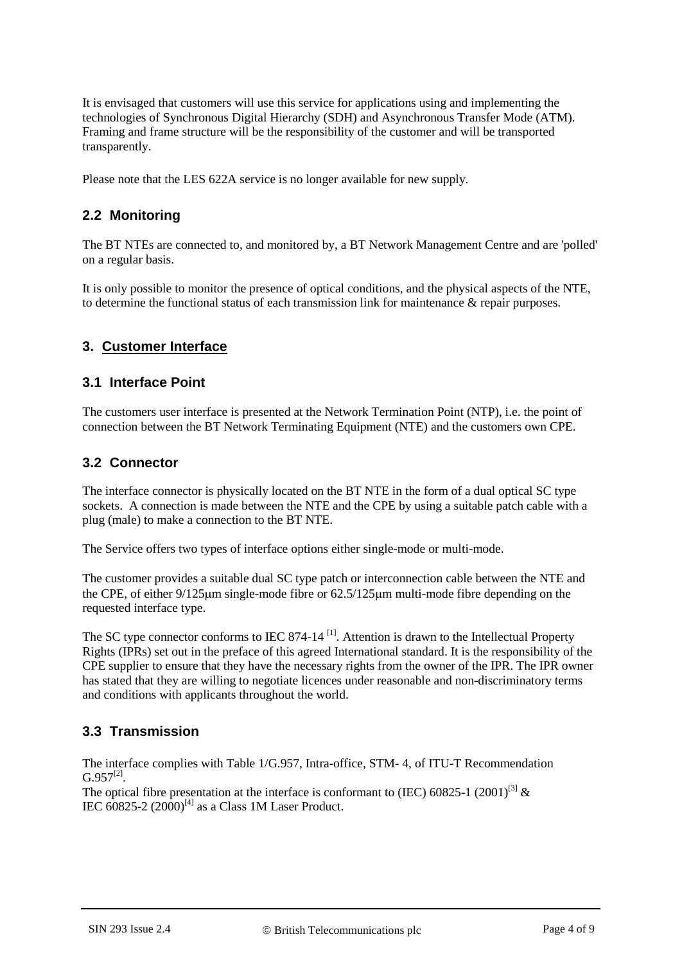It is envisaged that customers will use this service for applications using and implementing the technologies of Synchronous Digital Hierarchy (SDH) and Asynchronous Transfer Mode (ATM). Framing and frame structure will be the responsibility of the customer and will be transported transparently.

Please note that the LES 622A service is no longer available for new supply.

### **2.2 Monitoring**

The BT NTEs are connected to, and monitored by, a BT Network Management Centre and are 'polled' on a regular basis.

It is only possible to monitor the presence of optical conditions, and the physical aspects of the NTE, to determine the functional status of each transmission link for maintenance & repair purposes.

#### **3. Customer Interface**

#### **3.1 Interface Point**

The customers user interface is presented at the Network Termination Point (NTP), i.e. the point of connection between the BT Network Terminating Equipment (NTE) and the customers own CPE.

#### **3.2 Connector**

The interface connector is physically located on the BT NTE in the form of a dual optical SC type sockets. A connection is made between the NTE and the CPE by using a suitable patch cable with a plug (male) to make a connection to the BT NTE.

The Service offers two types of interface options either single-mode or multi-mode.

The customer provides a suitable dual SC type patch or interconnection cable between the NTE and the CPE, of either 9/125µm single-mode fibre or 62.5/125µm multi-mode fibre depending on the requested interface type.

The SC type connector conforms to IEC 874-14<sup>[1]</sup>. Attention is drawn to the Intellectual Property Rights (IPRs) set out in the preface of this agreed International standard. It is the responsibility of the CPE supplier to ensure that they have the necessary rights from the owner of the IPR. The IPR owner has stated that they are willing to negotiate licences under reasonable and non-discriminatory terms and conditions with applicants throughout the world.

## **3.3 Transmission**

The interface complies with Table 1/G.957, Intra-office, STM- 4, of ITU-T Recommendation  $G.957^{[2]}$ .

The optical fibre presentation at the interface is conformant to (IEC) 60825-1 (2001)<sup>[\[3\]](#page-5-2)</sup>  $\&$ IEC  $\overline{60825}$ -2  $(2000)^{[4]}$  $(2000)^{[4]}$  $(2000)^{[4]}$  as a Class 1M Laser Product.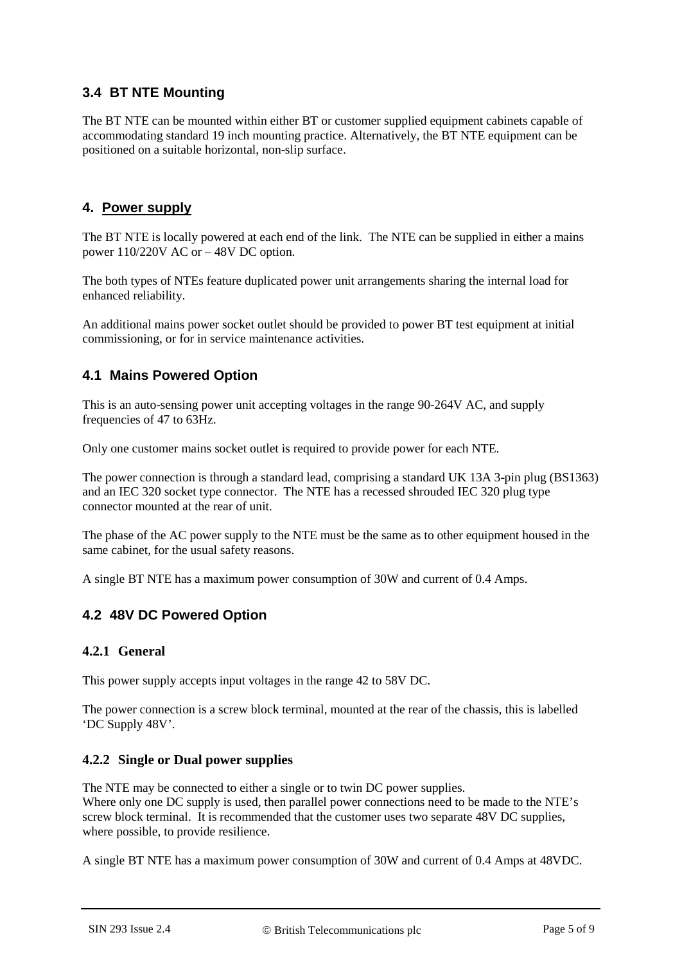## **3.4 BT NTE Mounting**

The BT NTE can be mounted within either BT or customer supplied equipment cabinets capable of accommodating standard 19 inch mounting practice. Alternatively, the BT NTE equipment can be positioned on a suitable horizontal, non-slip surface.

#### **4. Power supply**

The BT NTE is locally powered at each end of the link. The NTE can be supplied in either a mains power 110/220V AC or – 48V DC option.

The both types of NTEs feature duplicated power unit arrangements sharing the internal load for enhanced reliability.

An additional mains power socket outlet should be provided to power BT test equipment at initial commissioning, or for in service maintenance activities.

## **4.1 Mains Powered Option**

This is an auto-sensing power unit accepting voltages in the range 90-264V AC, and supply frequencies of 47 to 63Hz.

Only one customer mains socket outlet is required to provide power for each NTE.

The power connection is through a standard lead, comprising a standard UK 13A 3-pin plug (BS1363) and an IEC 320 socket type connector. The NTE has a recessed shrouded IEC 320 plug type connector mounted at the rear of unit.

The phase of the AC power supply to the NTE must be the same as to other equipment housed in the same cabinet, for the usual safety reasons.

A single BT NTE has a maximum power consumption of 30W and current of 0.4 Amps.

## **4.2 48V DC Powered Option**

#### **4.2.1 General**

This power supply accepts input voltages in the range 42 to 58V DC.

The power connection is a screw block terminal, mounted at the rear of the chassis, this is labelled 'DC Supply 48V'.

#### **4.2.2 Single or Dual power supplies**

The NTE may be connected to either a single or to twin DC power supplies. Where only one DC supply is used, then parallel power connections need to be made to the NTE's screw block terminal. It is recommended that the customer uses two separate 48V DC supplies, where possible, to provide resilience.

A single BT NTE has a maximum power consumption of 30W and current of 0.4 Amps at 48VDC.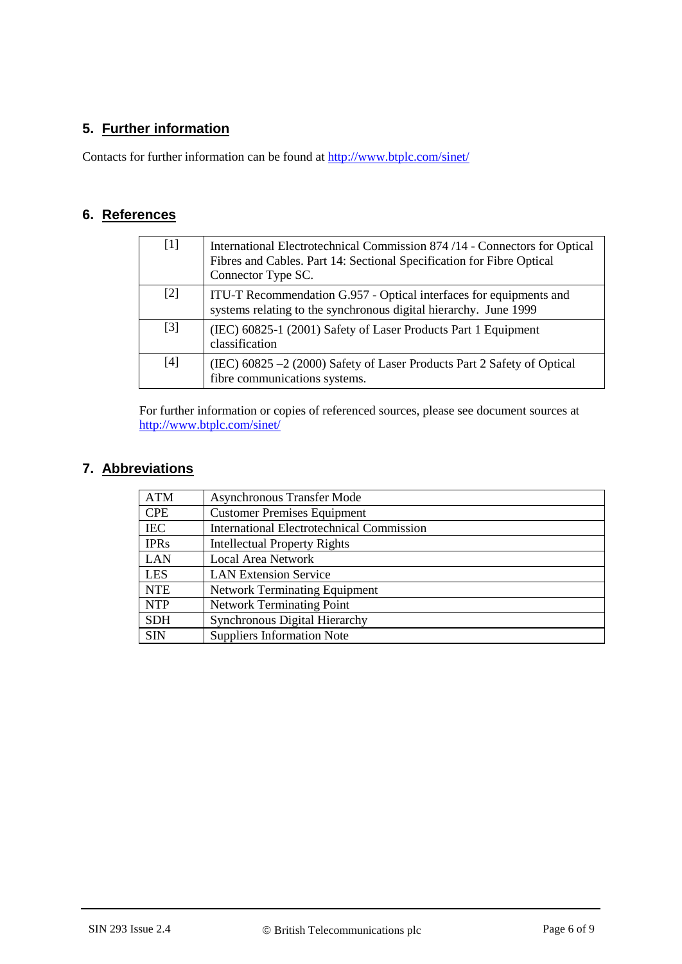## **5. Further information**

Contacts for further information can be found at<http://www.btplc.com/sinet/>

## **6. References**

<span id="page-5-1"></span><span id="page-5-0"></span>

| $[1]$ | International Electrotechnical Commission 874/14 - Connectors for Optical<br>Fibres and Cables. Part 14: Sectional Specification for Fibre Optical<br>Connector Type SC. |  |
|-------|--------------------------------------------------------------------------------------------------------------------------------------------------------------------------|--|
| $[2]$ | ITU-T Recommendation G.957 - Optical interfaces for equipments and<br>systems relating to the synchronous digital hierarchy. June 1999                                   |  |
| $[3]$ | (IEC) 60825-1 (2001) Safety of Laser Products Part 1 Equipment<br>classification                                                                                         |  |
| $[4]$ | (IEC) 60825 -2 (2000) Safety of Laser Products Part 2 Safety of Optical<br>fibre communications systems.                                                                 |  |

<span id="page-5-3"></span><span id="page-5-2"></span>For further information or copies of referenced sources, please see document sources at <http://www.btplc.com/sinet/>

### **7. Abbreviations**

| <b>ATM</b>  | <b>Asynchronous Transfer Mode</b>                |  |  |
|-------------|--------------------------------------------------|--|--|
| <b>CPE</b>  | <b>Customer Premises Equipment</b>               |  |  |
| <b>IEC</b>  | <b>International Electrotechnical Commission</b> |  |  |
| <b>IPRs</b> | <b>Intellectual Property Rights</b>              |  |  |
| <b>LAN</b>  | <b>Local Area Network</b>                        |  |  |
| <b>LES</b>  | <b>LAN Extension Service</b>                     |  |  |
| <b>NTE</b>  | <b>Network Terminating Equipment</b>             |  |  |
| <b>NTP</b>  | <b>Network Terminating Point</b>                 |  |  |
| <b>SDH</b>  | <b>Synchronous Digital Hierarchy</b>             |  |  |
| <b>SIN</b>  | <b>Suppliers Information Note</b>                |  |  |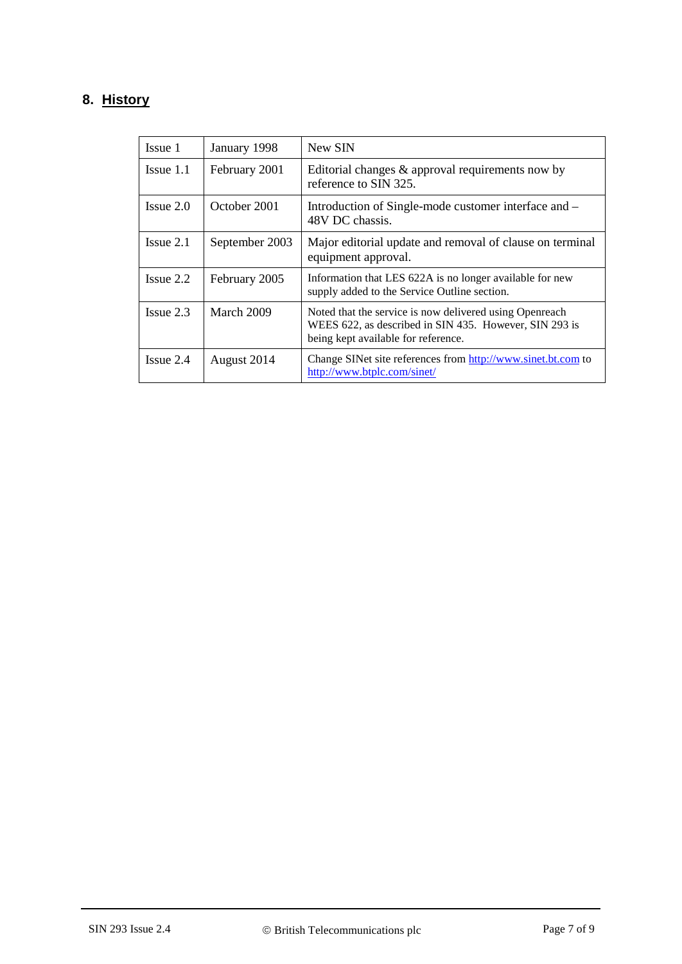## **8. History**

| Issue 1        | January 1998   | New SIN                                                                                                                                                  |
|----------------|----------------|----------------------------------------------------------------------------------------------------------------------------------------------------------|
| $I$ ssue $1.1$ | February 2001  | Editorial changes $\&$ approval requirements now by<br>reference to SIN 325.                                                                             |
| $I$ ssue $2.0$ | October 2001   | Introduction of Single-mode customer interface and -<br>48V DC chassis.                                                                                  |
| $I$ ssue $2.1$ | September 2003 | Major editorial update and removal of clause on terminal<br>equipment approval.                                                                          |
| $I$ ssue 2.2   | February 2005  | Information that LES 622A is no longer available for new<br>supply added to the Service Outline section.                                                 |
| $I$ ssue $2.3$ | March 2009     | Noted that the service is now delivered using Openreach<br>WEES 622, as described in SIN 435. However, SIN 293 is<br>being kept available for reference. |
| $I$ ssue 2.4   | August 2014    | Change SINet site references from http://www.sinet.bt.com to<br>http://www.btplc.com/sinet/                                                              |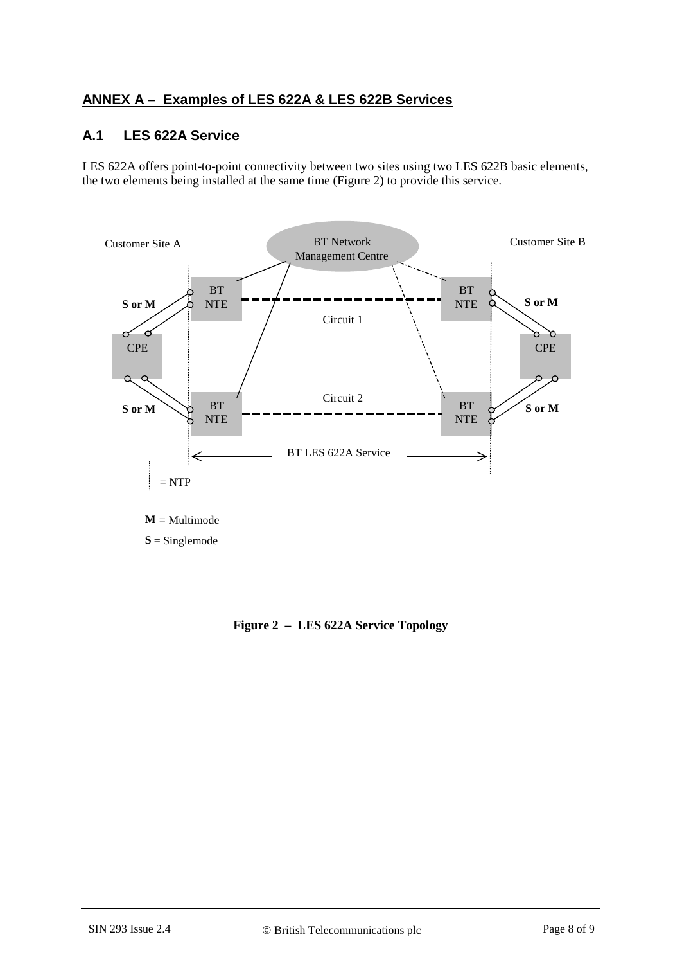## <span id="page-7-0"></span>**ANNEX A – Examples of LES 622A & LES 622B Services**

#### **A.1 LES 622A Service**

LES 622A offers point-to-point connectivity between two sites using two LES 622B basic elements, the two elements being installed at the same time [\(Figure 2\)](#page-7-1) to provide this service.



<span id="page-7-1"></span>**S** = Singlemode

**Figure 2 – LES 622A Service Topology**